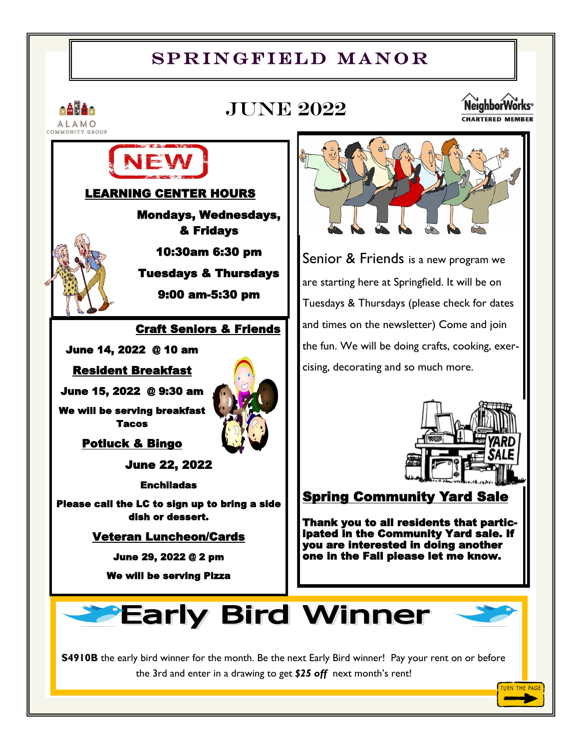# SPRINGFIELD MANOR



TURN THE PAGE